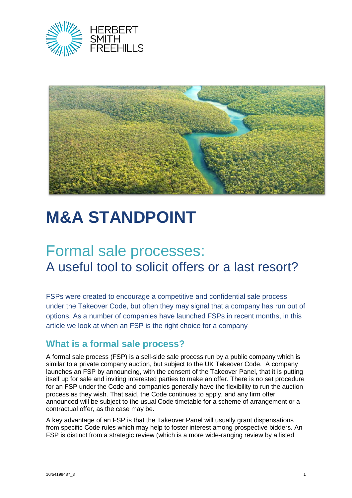



# **M&A STANDPOINT**

# Formal sale processes: A useful tool to solicit offers or a last resort?

FSPs were created to encourage a competitive and confidential sale process under the Takeover Code, but often they may signal that a company has run out of options. As a number of companies have launched FSPs in recent months, in this article we look at when an FSP is the right choice for a company

## **What is a formal sale process?**

A formal sale process (FSP) is a sell-side sale process run by a public company which is similar to a private company auction, but subject to the UK Takeover Code. A company launches an FSP by announcing, with the consent of the Takeover Panel, that it is putting itself up for sale and inviting interested parties to make an offer. There is no set procedure for an FSP under the Code and companies generally have the flexibility to run the auction process as they wish. That said, the Code continues to apply, and any firm offer announced will be subject to the usual Code timetable for a scheme of arrangement or a contractual offer, as the case may be.

A key advantage of an FSP is that the Takeover Panel will usually grant dispensations from specific Code rules which may help to foster interest among prospective bidders. An FSP is distinct from a strategic review (which is a more wide-ranging review by a listed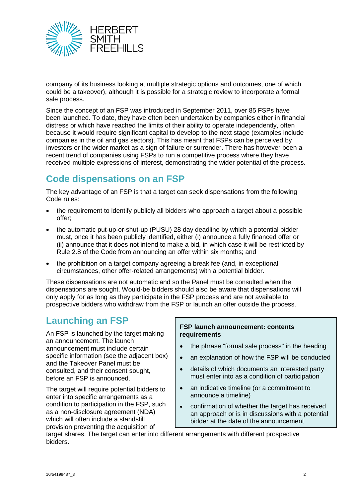

company of its business looking at multiple strategic options and outcomes, one of which could be a takeover), although it is possible for a strategic review to incorporate a formal sale process.

Since the concept of an FSP was introduced in September 2011, over 85 FSPs have been launched. To date, they have often been undertaken by companies either in financial distress or which have reached the limits of their ability to operate independently, often because it would require significant capital to develop to the next stage (examples include companies in the oil and gas sectors). This has meant that FSPs can be perceived by investors or the wider market as a sign of failure or surrender. There has however been a recent trend of companies using FSPs to run a competitive process where they have received multiple expressions of interest, demonstrating the wider potential of the process.

# **Code dispensations on an FSP**

The key advantage of an FSP is that a target can seek dispensations from the following Code rules:

- the requirement to identify publicly all bidders who approach a target about a possible offer;
- the automatic put-up-or-shut-up (PUSU) 28 day deadline by which a potential bidder must, once it has been publicly identified, either (i) announce a fully financed offer or (ii) announce that it does not intend to make a bid, in which case it will be restricted by Rule 2.8 of the Code from announcing an offer within six months; and
- the prohibition on a target company agreeing a break fee (and, in exceptional circumstances, other offer-related arrangements) with a potential bidder.

These dispensations are not automatic and so the Panel must be consulted when the dispensations are sought. Would-be bidders should also be aware that dispensations will only apply for as long as they participate in the FSP process and are not available to prospective bidders who withdraw from the FSP or launch an offer outside the process.

# **Launching an FSP**

An FSP is launched by the target making an announcement. The launch announcement must include certain specific information (see the adjacent box) and the Takeover Panel must be consulted, and their consent sought, before an FSP is announced.

The target will require potential bidders to enter into specific arrangements as a condition to participation in the FSP, such as a non-disclosure agreement (NDA) which will often include a standstill provision preventing the acquisition of

#### **FSP launch announcement: contents requirements**

- the phrase "formal sale process" in the heading
- an explanation of how the FSP will be conducted
- details of which documents an interested party must enter into as a condition of participation
- an indicative timeline (or a commitment to announce a timeline)
- confirmation of whether the target has received an approach or is in discussions with a potential bidder at the date of the announcement

target shares. The target can enter into different arrangements with different prospective bidders.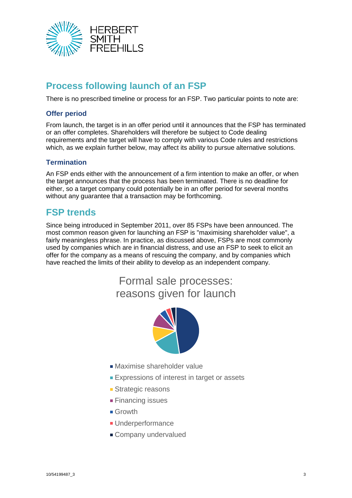

# **Process following launch of an FSP**

There is no prescribed timeline or process for an FSP. Two particular points to note are:

#### **Offer period**

From launch, the target is in an offer period until it announces that the FSP has terminated or an offer completes. Shareholders will therefore be subject to Code dealing requirements and the target will have to comply with various Code rules and restrictions which, as we explain further below, may affect its ability to pursue alternative solutions.

#### **Termination**

An FSP ends either with the announcement of a firm intention to make an offer, or when the target announces that the process has been terminated. There is no deadline for either, so a target company could potentially be in an offer period for several months without any guarantee that a transaction may be forthcoming.

### **FSP trends**

Since being introduced in September 2011, over 85 FSPs have been announced. The most common reason given for launching an FSP is "maximising shareholder value", a fairly meaningless phrase. In practice, as discussed above, FSPs are most commonly used by companies which are in financial distress, and use an FSP to seek to elicit an offer for the company as a means of rescuing the company, and by companies which have reached the limits of their ability to develop as an independent company.

# Formal sale processes: reasons given for launch



- Maximise shareholder value
- **Expressions of interest in target or assets**
- **Strategic reasons**
- **Financing issues**
- **Growth**
- **Underperformance**
- Company undervalued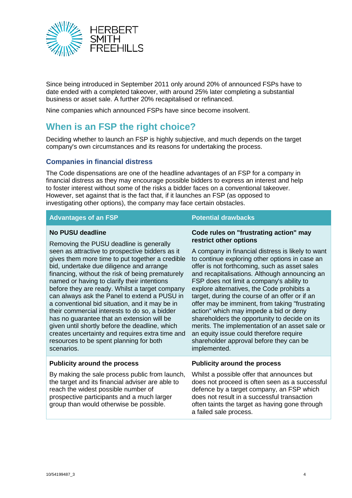

Since being introduced in September 2011 only around 20% of announced FSPs have to date ended with a completed takeover, with around 25% later completing a substantial business or asset sale. A further 20% recapitalised or refinanced.

Nine companies which announced FSPs have since become insolvent.

# **When is an FSP the right choice?**

Deciding whether to launch an FSP is highly subjective, and much depends on the target company's own circumstances and its reasons for undertaking the process.

#### **Companies in financial distress**

The Code dispensations are one of the headline advantages of an FSP for a company in financial distress as they may encourage possible bidders to express an interest and help to foster interest without some of the risks a bidder faces on a conventional takeover. However, set against that is the fact that, if it launches an FSP (as opposed to investigating other options), the company may face certain obstacles.

#### **Advantages of an FSP Potential drawbacks**

**restrict other options**

**Code rules on "frustrating action" may** 

A company in financial distress is likely to want to continue exploring other options in case an offer is not forthcoming, such as asset sales and recapitalisations. Although announcing an

#### **No PUSU deadline**

Removing the PUSU deadline is generally seen as attractive to prospective bidders as it gives them more time to put together a credible bid, undertake due diligence and arrange financing, without the risk of being prematurely named or having to clarify their intentions before they are ready. Whilst a target company can always ask the Panel to extend a PUSU in a conventional bid situation, and it may be in their commercial interests to do so, a bidder has no guarantee that an extension will be given until shortly before the deadline, which creates uncertainty and requires extra time and resources to be spent planning for both scenarios.

### FSP does not limit a company's ability to explore alternatives, the Code prohibits a target, during the course of an offer or if an offer may be imminent, from taking "frustrating action" which may impede a bid or deny shareholders the opportunity to decide on its merits. The implementation of an asset sale or an equity issue could therefore require shareholder approval before they can be implemented. **Publicity around the process**

By making the sale process public from launch, the target and its financial adviser are able to reach the widest possible number of prospective participants and a much larger group than would otherwise be possible.

**Publicity around the process**

Whilst a possible offer that announces but does not proceed is often seen as a successful defence by a target company, an FSP which does not result in a successful transaction often taints the target as having gone through a failed sale process.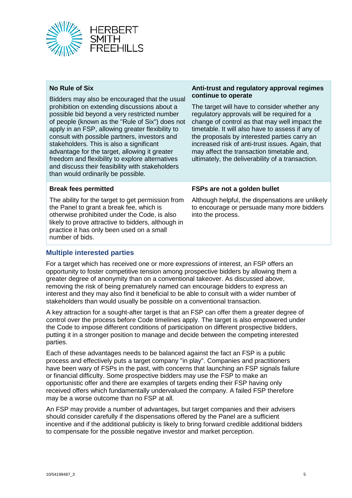

#### **No Rule of Six**

Bidders may also be encouraged that the usual prohibition on extending discussions about a possible bid beyond a very restricted number of people (known as the "Rule of Six") does not apply in an FSP, allowing greater flexibility to consult with possible partners, investors and stakeholders. This is also a significant advantage for the target, allowing it greater freedom and flexibility to explore alternatives and discuss their feasibility with stakeholders than would ordinarily be possible.

#### **Anti-trust and regulatory approval regimes continue to operate**

The target will have to consider whether any regulatory approvals will be required for a change of control as that may well impact the timetable. It will also have to assess if any of the proposals by interested parties carry an increased risk of anti-trust issues. Again, that may affect the transaction timetable and, ultimately, the deliverability of a transaction.

#### **Break fees permitted**

The ability for the target to get permission from the Panel to grant a break fee, which is otherwise prohibited under the Code, is also likely to prove attractive to bidders, although in practice it has only been used on a small number of bids.

#### **FSPs are not a golden bullet**

Although helpful, the dispensations are unlikely to encourage or persuade many more bidders into the process.

#### **Multiple interested parties**

For a target which has received one or more expressions of interest, an FSP offers an opportunity to foster competitive tension among prospective bidders by allowing them a greater degree of anonymity than on a conventional takeover. As discussed above, removing the risk of being prematurely named can encourage bidders to express an interest and they may also find it beneficial to be able to consult with a wider number of stakeholders than would usually be possible on a conventional transaction.

A key attraction for a sought-after target is that an FSP can offer them a greater degree of control over the process before Code timelines apply. The target is also empowered under the Code to impose different conditions of participation on different prospective bidders, putting it in a stronger position to manage and decide between the competing interested parties.

Each of these advantages needs to be balanced against the fact an FSP is a public process and effectively puts a target company "in play". Companies and practitioners have been wary of FSPs in the past, with concerns that launching an FSP signals failure or financial difficulty. Some prospective bidders may use the FSP to make an opportunistic offer and there are examples of targets ending their FSP having only received offers which fundamentally undervalued the company. A failed FSP therefore may be a worse outcome than no FSP at all.

An FSP may provide a number of advantages, but target companies and their advisers should consider carefully if the dispensations offered by the Panel are a sufficient incentive and if the additional publicity is likely to bring forward credible additional bidders to compensate for the possible negative investor and market perception.